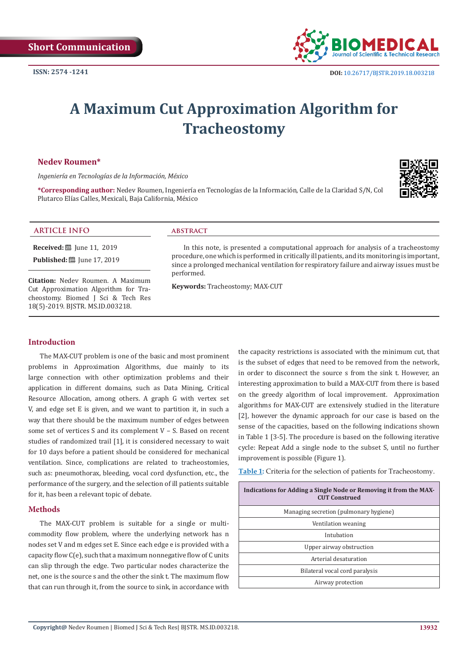

# **A Maximum Cut Approximation Algorithm for Tracheostomy**

### **Nedev Roumen\***

*Ingeniería en Tecnologías de la Información, México*

**\*Corresponding author:** Nedev Roumen, Ingeniería en Tecnologías de la Información, Calle de la Claridad S/N, Col Plutarco Elías Calles, Mexicali, Baja California, México



# **ARTICLE INFO abstract**

**Received:** ■ Iune 11, 2019

**Published:** ■ June 17, 2019

**Citation:** Nedev Roumen. A Maximum Cut Approximation Algorithm for Tracheostomy. Biomed J Sci & Tech Res 18(5)-2019. BJSTR. MS.ID.003218.

In this note, is presented a computational approach for analysis of a tracheostomy procedure, one which is performed in critically ill patients, and its monitoring is important, since a prolonged mechanical ventilation for respiratory failure and airway issues must be performed.

**Keywords:** Tracheostomy; MAX-CUT

#### **Introduction**

The MAX-CUT problem is one of the basic and most prominent problems in Approximation Algorithms, due mainly to its large connection with other optimization problems and their application in different domains, such as Data Mining, Critical Resource Allocation, among others. A graph G with vertex set V, and edge set E is given, and we want to partition it, in such a way that there should be the maximum number of edges between some set of vertices S and its complement V – S. Based on recent studies of randomized trail [1], it is considered necessary to wait for 10 days before a patient should be considered for mechanical ventilation. Since, complications are related to tracheostomies, such as: pneumothorax, bleeding, vocal cord dysfunction, etc., the performance of the surgery, and the selection of ill patients suitable for it, has been a relevant topic of debate.

#### **Methods**

The MAX-CUT problem is suitable for a single or multicommodity flow problem, where the underlying network has n nodes set V and m edges set E. Since each edge e is provided with a capacity flow C(e), such that a maximum nonnegative flow of C units can slip through the edge. Two particular nodes characterize the net, one is the source s and the other the sink t. The maximum flow that can run through it, from the source to sink, in accordance with

the capacity restrictions is associated with the minimum cut, that is the subset of edges that need to be removed from the network, in order to disconnect the source s from the sink t. However, an interesting approximation to build a MAX-CUT from there is based on the greedy algorithm of local improvement. Approximation algorithms for MAX-CUT are extensively studied in the literature [2], however the dynamic approach for our case is based on the sense of the capacities, based on the following indications shown in Table 1 [3-5]. The procedure is based on the following iterative cycle: Repeat Add a single node to the subset S, until no further improvement is possible (Figure 1).

**Table 1:** Criteria for the selection of patients for Tracheostomy.

| Indications for Adding a Single Node or Removing it from the MAX-<br><b>CUT Construed</b> |
|-------------------------------------------------------------------------------------------|
| Managing secretion (pulmonary hygiene)                                                    |
| Ventilation weaning                                                                       |
| Intubation                                                                                |
| Upper airway obstruction                                                                  |
| Arterial desaturation                                                                     |
| Bilateral vocal cord paralysis                                                            |
| Airway protection                                                                         |